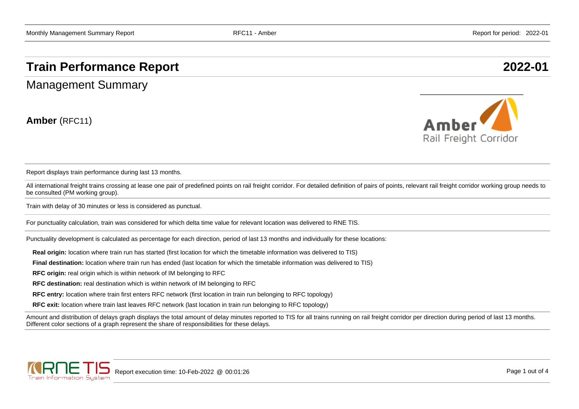## **Train Performance Report 2022-01**

Management Summary

**Amber** (RFC11)



Report displays train performance during last 13 months.

All international freight trains crossing at lease one pair of predefined points on rail freight corridor. For detailed definition of pairs of points, relevant rail freight corridor working group needs to be consulted (PM working group).

Train with delay of 30 minutes or less is considered as punctual.

For punctuality calculation, train was considered for which delta time value for relevant location was delivered to RNE TIS.

Punctuality development is calculated as percentage for each direction, period of last 13 months and individually for these locations:

**Real origin:** location where train run has started (first location for which the timetable information was delivered to TIS)

**Final destination:** location where train run has ended (last location for which the timetable information was delivered to TIS)

**RFC origin:** real origin which is within network of IM belonging to RFC

**RFC destination:** real destination which is within network of IM belonging to RFC

**RFC entry:** location where train first enters RFC network (first location in train run belonging to RFC topology)

**RFC exit:** location where train last leaves RFC network (last location in train run belonging to RFC topology)

Amount and distribution of delays graph displays the total amount of delay minutes reported to TIS for all trains running on rail freight corridor per direction during period of last 13 months. Different color sections of a graph represent the share of responsibilities for these delays.

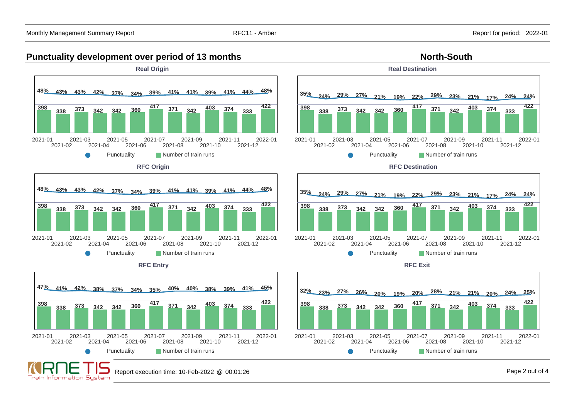



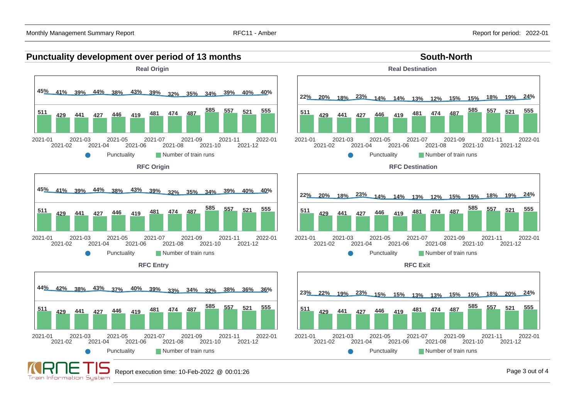## **Punctuality development over period of 13 months South-North South-North**